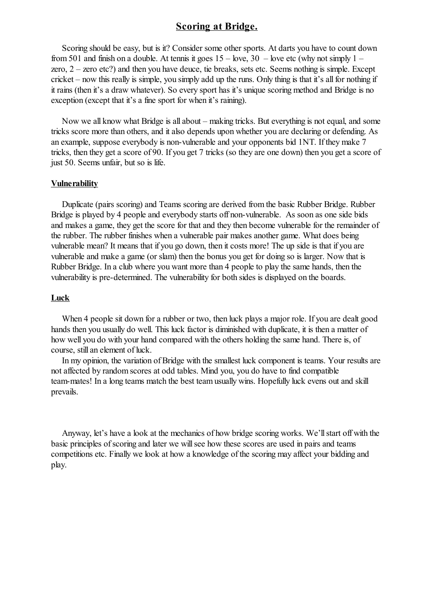# **Scoring at Bridge.**

Scoring should be easy, but is it? Consider some other sports. At darts you have to count down from 501 and finish on a double. At tennis it goes  $15 -$  love,  $30 -$  love etc (why not simply  $1$ zero, 2 – zero etc?) and then you have deuce, tie breaks, sets etc. Seems nothing is simple. Except cricket – now this really is simple, you simply add up the runs. Only thing is that it's allfor nothing if it rains (then it's a draw whatever). So every sport has it's unique scoring method and Bridge is no exception (except that it's a fine sport for when it's raining).

Now we all know what Bridge is all about – making tricks. But everything is not equal, and some tricks score more than others, and it also depends upon whether you are declaring or defending. As an example, suppose everybody is non-vulnerable and your opponents bid 1NT. If they make 7 tricks, then they get a score of 90. If you get 7 tricks (so they are one down) then you get a score of just 50. Seems unfair, but so is life.

### **Vulnerability**

Duplicate (pairs scoring) and Teams scoring are derived from the basic Rubber Bridge. Rubber Bridge is played by 4 people and everybody starts off non-vulnerable. As soon as one side bids and makes a game, they get the score for that and they then become vulnerable for the remainder of the rubber. The rubber finishes when a vulnerable pair makes another game. What does being vulnerable mean? It means that if you go down, then it costs more! The up side is that if you are vulnerable and make a game (or slam) then the bonus you get for doing so is larger. Now that is Rubber Bridge. In a club where you want more than 4 people to play the same hands, then the vulnerability is pre-determined. The vulnerability for both sides is displayed on the boards.

### **Luck**

When 4 people sit down for a rubber or two, then luck plays a major role. If you are dealt good hands then you usually do well. This luck factor is diminished with duplicate, it is then a matter of how well you do with your hand compared with the others holding the same hand. There is, of course, still an element of luck.

In my opinion, the variation of Bridge with the smallest luck component is teams. Your results are not affected by random scores at odd tables. Mind you, you do have to find compatible team-mates! In a long teams match the best team usually wins. Hopefully luck evens out and skill prevails.

Anyway, let's have a look at the mechanics of how bridge scoring works. We'll start off with the basic principles of scoring and later we will see how these scores are used in pairs and teams competitions etc. Finally we look at how a knowledge of the scoring may affect your bidding and play.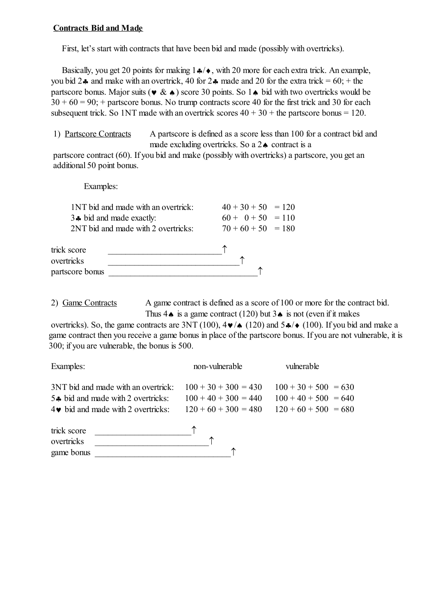## **Contracts Bid and Made**

First, let's start with contracts that have been bid and made (possibly with overtricks).

Basically, you get 20 points for making  $1\clubsuit/\bullet$ , with 20 more for each extra trick. An example, you bid 2.4 and make with an overtrick, 40 for 2.4 made and 20 for the extra trick =  $60$ ; + the partscore bonus. Major suits ( $\vee \& \wedge$ ) score 30 points. So 1 $\wedge$  bid with two overtricks would be  $30 + 60 = 90$ ; + partscore bonus. No trump contracts score 40 for the first trick and 30 for each subsequent trick. So 1NT made with an overtrick scores  $40 + 30 +$  the partscore bonus = 120.

1) Partscore Contracts A partscore is defined as a score less than 100 for a contract bid and made excluding overtricks. So a  $2\spadesuit$  contract is a

partscore contract (60). If you bid and make (possibly with overtricks) a partscore, you get an additional 50 point bonus.

Examples:

|                                              | 1NT bid and made with an overtrick: | $40 + 30 + 50 = 120$ |  |
|----------------------------------------------|-------------------------------------|----------------------|--|
| 3. bid and made exactly.                     |                                     | $60 + 0 + 50 = 110$  |  |
| 2NT bid and made with 2 overtricks:          |                                     | $70 + 60 + 50 = 180$ |  |
| trick score<br>overtricks<br>partscore bonus |                                     |                      |  |

2) Game Contracts A game contract is defined as a score of 100 or more for the contract bid. Thus  $4\spadesuit$  is a game contract (120) but  $3\spadesuit$  is not (even if it makes

overtricks). So, the game contracts are 3NT (100),  $4\nabla/\phi$  (120) and  $5\clubsuit/\phi$  (100). If you bid and make a game contract then you receive a game bonus in place of the partscore bonus. If you are not vulnerable, it is 300; if you are vulnerable, the bonus is 500.

| Examples:                                  | non-vulnerable         | vulnerable             |
|--------------------------------------------|------------------------|------------------------|
| 3NT bid and made with an overtrick:        | $100 + 30 + 300 = 430$ | $100 + 30 + 500 = 630$ |
| $5$ bid and made with 2 overtricks:        | $100 + 40 + 300 = 440$ | $100 + 40 + 500 = 640$ |
| $4\bullet$ bid and made with 2 overtricks: | $120 + 60 + 300 = 480$ | $120 + 60 + 500 = 680$ |

| trick score |  |  |
|-------------|--|--|
| overtricks  |  |  |
| game bonus  |  |  |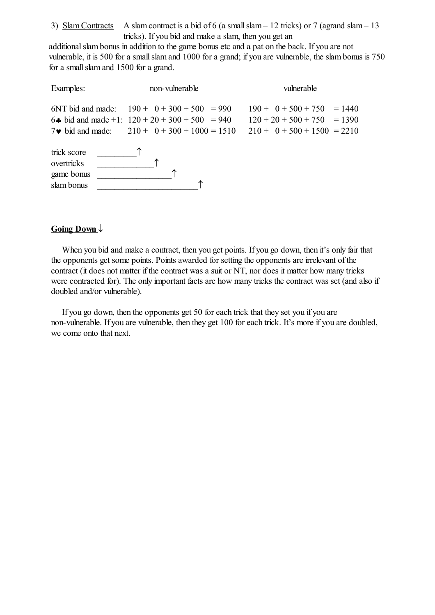3) Slam Contracts A slam contract is a bid of 6 (a small slam – 12 tricks) or 7 (agrand slam – 13 tricks). If you bid and make a slam, then you get an

additional slam bonus in addition to the game bonus etc and a pat on the back. If you are not vulnerable, it is 500 for a smallslam and 1000 for a grand; if you are vulnerable, the slam bonus is 750 for a smallslam and 1500 for a grand.

| Examples:                                             | non-vulnerable                                                                                                                                               | vulnerable                                                                                     |
|-------------------------------------------------------|--------------------------------------------------------------------------------------------------------------------------------------------------------------|------------------------------------------------------------------------------------------------|
|                                                       | 6NT bid and made: $190 + 0 + 300 + 500 = 990$<br>6. bid and made +1: $120 + 20 + 300 + 500 = 940$<br>7 $\bullet$ bid and made: $210 + 0 + 300 + 1000 = 1510$ | $190 + 0 + 500 + 750 = 1440$<br>$120 + 20 + 500 + 750 = 1390$<br>$210 + 0 + 500 + 1500 = 2210$ |
| trick score<br>overtricks<br>game bonus<br>slam bonus |                                                                                                                                                              |                                                                                                |

# **Going Down**

When you bid and make a contract, then you get points. If you go down, then it's only fair that the opponents get some points. Points awarded for setting the opponents are irrelevant of the contract (it does not matter if the contract was a suit or NT, nor does it matter how many tricks were contracted for). The only important facts are how many tricks the contract was set (and also if doubled and/or vulnerable).

If you go down, then the opponents get 50 for each trick that they set you if you are non-vulnerable. If you are vulnerable, then they get 100 for each trick. It's more if you are doubled, we come onto that next.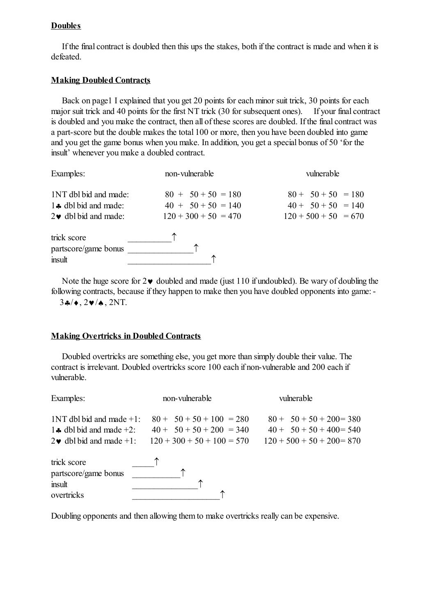## **Doubles**

If the final contract is doubled then this ups the stakes, both if the contract is made and when it is defeated.

## **Making Doubled Contracts**

Back on page1 I explained that you get 20 points for each minor suit trick, 30 points for each major suit trick and 40 points for the first NT trick (30 for subsequent ones). If your final contract is doubled and you make the contract, then all of these scores are doubled. If the final contract was a part-score but the double makes the total 100 or more, then you have been doubled into game and you get the game bonus when you make. In addition, you get a special bonus of 50 'for the insult' whenever you make a doubled contract.

| Examples:                                                                                | non-vulnerable                                                         | vulnerable                                                             |
|------------------------------------------------------------------------------------------|------------------------------------------------------------------------|------------------------------------------------------------------------|
| 1NT dbl bid and made:<br>$1$ $\bullet$ dbl bid and made:<br>$2\bullet$ dbl bid and made: | $80 + 50 + 50 = 180$<br>$40 + 50 + 50 = 140$<br>$120 + 300 + 50 = 470$ | $80 + 50 + 50 = 180$<br>$40 + 50 + 50 = 140$<br>$120 + 500 + 50 = 670$ |
| trick score<br>partscore/game bonus<br>insult                                            |                                                                        |                                                                        |

Note the huge score for  $2\vee$  doubled and made (just 110 if undoubled). Be wary of doubling the following contracts, because if they happen to make then you have doubled opponents into game:-  $34/4.24/4.2N$ T.

# **Making Overtricks in Doubled Contracts**

Doubled overtricks are something else, you get more than simply double their value. The contract is irrelevant. Doubled overtricks score 100 each if non-vulnerable and 200 each if vulnerable.

| Examples:                                                                                      | non-vulnerable                                                                           | vulnerable                                                                               |
|------------------------------------------------------------------------------------------------|------------------------------------------------------------------------------------------|------------------------------------------------------------------------------------------|
| $1NT$ dbl bid and made $+1$ :<br>1. dbl bid and made $+2$ :<br>$2\bullet$ dbl bid and made +1: | $80 + 50 + 50 + 100 = 280$<br>$40 + 50 + 50 + 200 = 340$<br>$120 + 300 + 50 + 100 = 570$ | $80 + 50 + 50 + 200 = 380$<br>$40 + 50 + 50 + 400 = 540$<br>$120 + 500 + 50 + 200 = 870$ |
| trick score<br>partscore/game bonus<br>insult<br>overtricks                                    |                                                                                          |                                                                                          |

Doubling opponents and then allowing them to make overtricks really can be expensive.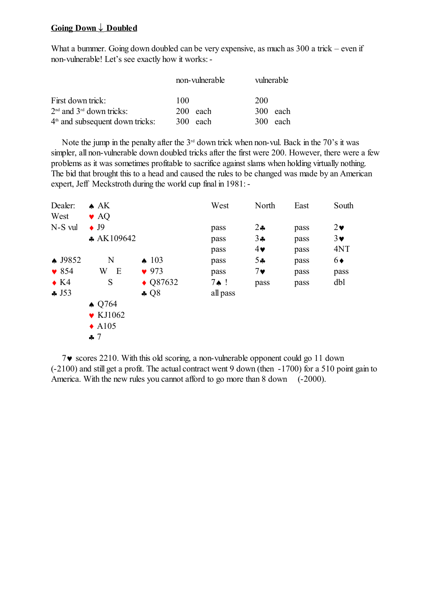## **Going Down Doubled**

What a bummer. Going down doubled can be very expensive, as much as 300 a trick – even if non-vulnerable! Let's see exactly how it works:-

|                                   | non-vulnerable | vulnerable |
|-----------------------------------|----------------|------------|
| First down trick:                 | 100            | <b>200</b> |
| $2nd$ and $3rd$ down tricks:      | $200$ each     | 300 each   |
| $4th$ and subsequent down tricks: | 300 each       | 300 each   |

Note the jump in the penalty after the  $3<sup>rd</sup>$  down trick when non-vul. Back in the 70's it was simpler, all non-vulnerable down doubled tricks after the first were 200. However, there were a few problems as it was sometimes profitable to sacrifice against slams when holding virtually nothing. The bid that brought this to a head and caused the rules to be changed was made by an American expert, Jeff Meckstroth during the world cup final in 1981:-

| Dealer:            | $\triangle$ AK               |                    | West             | North        | East | South      |
|--------------------|------------------------------|--------------------|------------------|--------------|------|------------|
| West               | $\blacktriangleright$ AQ     |                    |                  |              |      |            |
| N-S vul            | $\bullet$ J9                 |                    | pass             | $2\clubsuit$ | pass | $2\bullet$ |
|                    | $\clubsuit$ AK109642         |                    | pass             | $3\bullet$   | pass | $3\vee$    |
|                    |                              |                    | pass             | $4\bullet$   | pass | 4NT        |
| $\spadesuit$ J9852 | N                            | $\spadesuit$ 103   | pass             | 54           | pass | 6♦         |
| $\bullet$ 854      | Ε<br>W                       | $\bullet$ 973      | pass             | $7\bullet$   | pass | pass       |
| $\bullet$ K4       | S                            | $\triangle$ Q87632 | $7 \spadesuit$ ! | pass         | pass | dbl        |
| $\clubsuit$ J53    |                              | $\clubsuit$ Q8     | all pass         |              |      |            |
|                    | $\triangle$ Q764             |                    |                  |              |      |            |
|                    | $\blacktriangleright$ KJ1062 |                    |                  |              |      |            |
|                    | $\triangle$ A105             |                    |                  |              |      |            |
|                    | $\clubsuit$ 7                |                    |                  |              |      |            |

 $7\vee$  scores 2210. With this old scoring, a non-vulnerable opponent could go 11 down (-2100) and still get a profit. The actual contract went 9 down (then -1700) for a 510 point gain to America. With the new rules you cannot afford to go more than 8 down (-2000).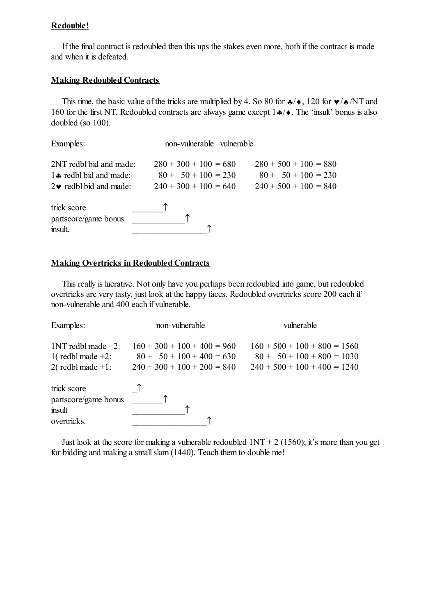# **Redouble!**

If the final contract is redoubled then this ups the stakes even more, both if the contract is made and when it is defeated.

## **Making Redoubled Contracts**

This time, the basic value of the tricks are multiplied by 4. So 80 for  $\clubsuit/\spadesuit$ , 120 for  $\blacktriangledown/\spadesuit/NT$  and 160 for the first NT. Redoubled contracts are always game except  $1\cdot/ \cdot$ . The 'insult' bonus is also doubled (so 100).

| Examples:                                                                                       | non-vulnerable vulnerable                                                   |                                                                             |
|-------------------------------------------------------------------------------------------------|-----------------------------------------------------------------------------|-----------------------------------------------------------------------------|
| 2NT redbl bid and made:<br>1. redbl bid and made:<br>$2\blacktriangleright$ redbl bid and made: | $280 + 300 + 100 = 680$<br>$80 + 50 + 100 = 230$<br>$240 + 300 + 100 = 640$ | $280 + 500 + 100 = 880$<br>$80 + 50 + 100 = 230$<br>$240 + 500 + 100 = 840$ |
| trick score<br>partscore/game bonus<br>insult.                                                  |                                                                             |                                                                             |

## **Making Overtricks in Redoubled Contracts**

This really is lucrative. Not only have you perhaps been redoubled into game, but redoubled overtricks are very tasty, just look at the happy faces. Redoubled overtricks score 200 each if non-vulnerable and 400 each if vulnerable.

| Examples:                                                             | non-vulnerable                                                                                | vulnerable                                                                                       |  |  |
|-----------------------------------------------------------------------|-----------------------------------------------------------------------------------------------|--------------------------------------------------------------------------------------------------|--|--|
| $1NT$ redbl made $+2$ :<br>1(redbl made $+2$ :<br>2(redbl made $+1$ : | $160 + 300 + 100 + 400 = 960$<br>$80 + 50 + 100 + 400 = 630$<br>$240 + 300 + 100 + 200 = 840$ | $160 + 500 + 100 + 800 = 1560$<br>$80 + 50 + 100 + 800 = 1030$<br>$240 + 500 + 100 + 400 = 1240$ |  |  |
| trick score<br>partscore/game bonus<br>insult<br>overtricks.          |                                                                                               |                                                                                                  |  |  |

Just look at the score for making a vulnerable redoubled  $1NT + 2$  (1560); it's more than you get for bidding and making a smallslam (1440). Teach them to double me!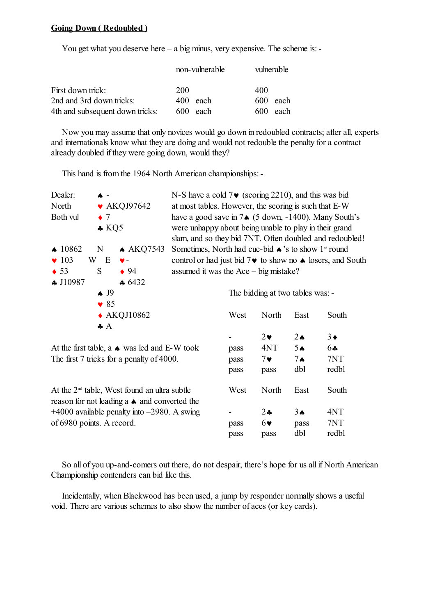### **Going Down ( Redoubled )**

You get what you deserve here – a big minus, very expensive. The scheme is: -

|                                 | non-vulnerable | vulnerable  |
|---------------------------------|----------------|-------------|
| First down trick:               | 200            | 400         |
| 2nd and 3rd down tricks:        | 400 each       | 600 each    |
| 4th and subsequent down tricks: | 600 each       | 600<br>each |

Now you may assume that only novices would go down in redoubled contracts; after all, experts and internationals know what they are doing and would not redouble the penalty for a contract already doubled if they were going down, would they?

This hand is from the 1964 North American championships:-

| Dealer:<br>$\uparrow$ -                          |                 | N-S have a cold $7\vee$ (scoring 2210), and this was bid |                                                                           |                                                        |                                  |                                                                              |                                                                         |  |
|--------------------------------------------------|-----------------|----------------------------------------------------------|---------------------------------------------------------------------------|--------------------------------------------------------|----------------------------------|------------------------------------------------------------------------------|-------------------------------------------------------------------------|--|
| North                                            |                 | $\blacktriangleright$ AKQJ97642                          | at most tables. However, the scoring is such that E-W                     |                                                        |                                  |                                                                              |                                                                         |  |
| Both vul                                         | $\bullet$ 7     |                                                          |                                                                           |                                                        |                                  | have a good save in $7 \triangleleft (5 \text{ down}, -1400)$ . Many South's |                                                                         |  |
|                                                  | $\clubsuit$ KQ5 |                                                          |                                                                           | were unhappy about being unable to play in their grand |                                  |                                                                              |                                                                         |  |
|                                                  |                 |                                                          |                                                                           |                                                        |                                  |                                                                              | slam, and so they bid 7NT. Often doubled and redoubled!                 |  |
| $\triangle$ 10862                                | N               | $\triangle$ AKQ7543                                      | Sometimes, North had cue-bid $\triangle$ 's to show 1 <sup>st</sup> round |                                                        |                                  |                                                                              |                                                                         |  |
| $\blacktriangledown 103$                         | W E             | ♥-                                                       |                                                                           |                                                        |                                  |                                                                              | control or had just bid $7\vee$ to show no $\uparrow$ losers, and South |  |
| $\bullet$ 53                                     | S               | $\bullet$ 94                                             | assumed it was the $Ace - big mistake?$                                   |                                                        |                                  |                                                                              |                                                                         |  |
| $\clubsuit$ J10987                               |                 | 6432                                                     |                                                                           |                                                        |                                  |                                                                              |                                                                         |  |
|                                                  | $\spadesuit$ J9 |                                                          |                                                                           |                                                        | The bidding at two tables was: - |                                                                              |                                                                         |  |
|                                                  | $\bullet$ 85    |                                                          |                                                                           |                                                        |                                  |                                                                              |                                                                         |  |
|                                                  |                 | $\triangle$ AKQJ10862                                    |                                                                           | West                                                   | North                            | East                                                                         | South                                                                   |  |
|                                                  | $\clubsuit$ $A$ |                                                          |                                                                           |                                                        |                                  |                                                                              |                                                                         |  |
|                                                  |                 |                                                          |                                                                           |                                                        | $2\bullet$                       | $2\spadesuit$                                                                | $3\bullet$                                                              |  |
|                                                  |                 | At the first table, a $\bullet$ was led and E-W took     |                                                                           | pass                                                   | 4NT                              | 5A                                                                           | 64                                                                      |  |
|                                                  |                 | The first 7 tricks for a penalty of 4000.                |                                                                           | pass                                                   | $7\bullet$                       | $7 \spadesuit$                                                               | 7NT                                                                     |  |
|                                                  |                 |                                                          |                                                                           | pass                                                   | pass                             | dbl                                                                          | redbl                                                                   |  |
|                                                  |                 | At the 2 <sup>nd</sup> table, West found an ultra subtle |                                                                           | West                                                   | North                            | East                                                                         | South                                                                   |  |
|                                                  |                 | reason for not leading a $\bullet$ and converted the     |                                                                           |                                                        |                                  |                                                                              |                                                                         |  |
| $+4000$ available penalty into $-2980$ . A swing |                 |                                                          |                                                                           | $2 -$                                                  | $3\spadesuit$                    | 4NT                                                                          |                                                                         |  |
| of 6980 points. A record.                        |                 |                                                          |                                                                           | pass                                                   | $6\bullet$                       | pass                                                                         | 7NT                                                                     |  |
|                                                  |                 |                                                          |                                                                           | pass                                                   | pass                             | dbl                                                                          | redbl                                                                   |  |

So all of you up-and-comers out there, do not despair, there's hope for us all if North American Championship contenders can bid like this.

Incidentally, when Blackwood has been used, a jump by responder normally shows a useful void. There are various schemes to also show the number of aces (or key cards).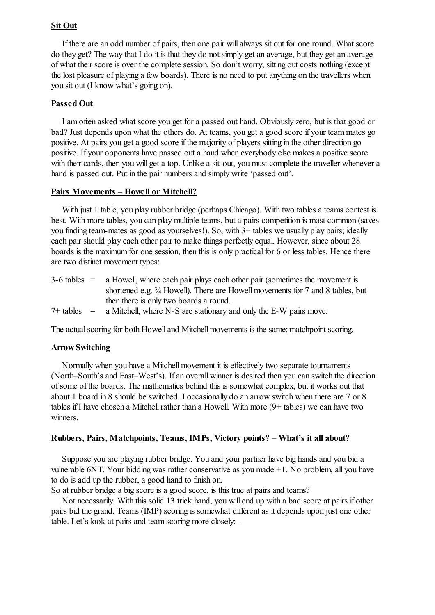## **Sit Out**

If there are an odd number of pairs, then one pair will always sit out for one round. What score do they get? The way that I do it is that they do not simply get an average, but they get an average of what their score is over the complete session. So don't worry, sitting out costs nothing (except the lost pleasure of playing a few boards). There is no need to put anything on the travellers when you sit out (I know what's going on).

### **Passed Out**

I am often asked what score you get for a passed out hand. Obviously zero, but is that good or bad? Just depends upon what the others do. At teams, you get a good score if your team mates go positive. At pairs you get a good score if the majority of players sitting in the other direction go positive. If your opponents have passed out a hand when everybody else makes a positive score with their cards, then you will get a top. Unlike a sit-out, you must complete the traveller whenever a hand is passed out. Put in the pair numbers and simply write 'passed out'.

### **Pairs Movements – Howell or Mitchell?**

With just 1 table, you play rubber bridge (perhaps Chicago). With two tables a teams contest is best. With more tables, you can play multiple teams, but a pairs competition is most common (saves you finding team-mates as good as yourselves!). So, with 3+ tables we usually play pairs; ideally each pair should play each other pair to make things perfectly equal. However, since about 28 boards is the maximum for one session, then this is only practical for 6 or less tables. Hence there are two distinct movement types:

| $3-6$ tables $=$ a Howell, where each pair plays each other pair (sometimes the movement is            |  |
|--------------------------------------------------------------------------------------------------------|--|
| shortened e.g. <sup>3</sup> / <sub>4</sub> Howell). There are Howell movements for 7 and 8 tables, but |  |
| then there is only two boards a round.                                                                 |  |
| $7+$ tables = a Mitchell, where N-S are stationary and only the E-W pairs move.                        |  |

The actual scoring for both Howell and Mitchell movements is the same: matchpoint scoring.

### **Arrow Switching**

Normally when you have a Mitchell movement it is effectively two separate tournaments (North–South's and East–West's). If an overall winner is desired then you can switch the direction ofsome of the boards. The mathematics behind this is somewhat complex, but it works out that about 1 board in 8 should be switched. I occasionally do an arrow switch when there are 7 or 8 tables if I have chosen a Mitchell rather than a Howell. With more  $(9 + \text{tables})$  we can have two winners.

### **Rubbers, Pairs, Matchpoints, Teams, IMPs, Victory points? – What's it all about?**

Suppose you are playing rubber bridge. You and your partner have big hands and you bid a vulnerable 6NT. Your bidding was rather conservative as you made +1. No problem, all you have to do is add up the rubber, a good hand to finish on.

So at rubber bridge a big score is a good score, is this true at pairs and teams?

Not necessarily. With this solid 13 trick hand, you will end up with a bad score at pairs if other pairs bid the grand. Teams (IMP) scoring is somewhat different as it depends upon just one other table. Let's look at pairs and team scoring more closely:-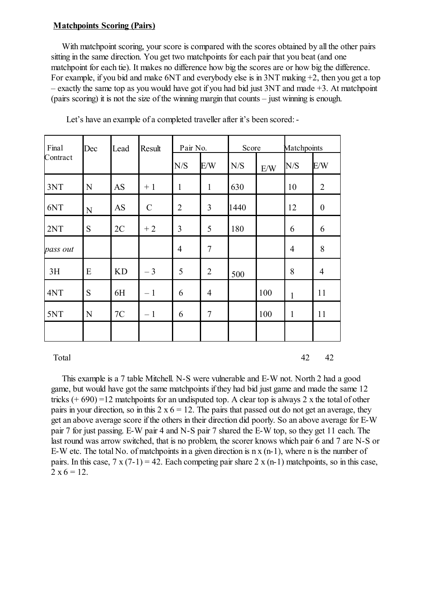### **Matchpoints Scoring (Pairs)**

With matchpoint scoring, your score is compared with the scores obtained by all the other pairs sitting in the same direction. You get two matchpoints for each pair that you beat (and one matchpoint for each tie). It makes no difference how big the scores are or how big the difference. For example, if you bid and make 6NT and everybody else is in 3NT making +2, then you get a top – exactly the same top as you would have got if you had bid just  $3NT$  and made  $+3$ . At matchpoint (pairs scoring) it is not the size of the winning margin that counts – just winning is enough.

| Final    | Dec         | Lead      | Result        | Pair No.       |                | Score |     | Matchpoints  |                  |
|----------|-------------|-----------|---------------|----------------|----------------|-------|-----|--------------|------------------|
| Contract |             |           |               | N/S            | E/W            | N/S   | E/W | N/S          | E/W              |
| 3NT      | N           | <b>AS</b> | $+1$          | $\mathbf{1}$   | $\mathbf{1}$   | 630   |     | 10           | $\overline{2}$   |
| 6NT      | $\mathbf N$ | <b>AS</b> | $\mathcal{C}$ | $\overline{2}$ | 3              | 1440  |     | 12           | $\boldsymbol{0}$ |
| 2NT      | S           | 2C        | $+2$          | 3              | 5              | 180   |     | 6            | 6                |
| pass out |             |           |               | $\overline{4}$ | $\overline{7}$ |       |     | 4            | 8                |
| 3H       | E           | <b>KD</b> | $-3$          | 5              | 2              | 500   |     | 8            | 4                |
| 4NT      | S           | 6H        | $-1$          | 6              | 4              |       | 100 | $\mathbf{1}$ | 11               |
| 5NT      | N           | 7C        | $-1$          | 6              | $\tau$         |       | 100 | $\mathbf{1}$ | 11               |
|          |             |           |               |                |                |       |     |              |                  |

Let's have an example of a completed traveller after it's been scored: -

Total  $42$   $42$ 

This example is a 7 table Mitchell. N-S were vulnerable and E-W not. North 2 had a good game, but would have got the same matchpoints if they had bid just game and made the same 12 tricks  $(+ 690) = 12$  matchpoints for an undisputed top. A clear top is always 2 x the total of other pairs in your direction, so in this  $2 \times 6 = 12$ . The pairs that passed out do not get an average, they get an above average score if the others in their direction did poorly. So an above average for E-W pair 7 for just passing. E-W pair 4 and N-S pair 7 shared the E-W top, so they get 11 each. The last round was arrow switched, that is no problem, the scorer knows which pair 6 and 7 are N-S or E-W etc. The total No. of matchpoints in a given direction is n x (n-1), where n is the number of pairs. In this case,  $7 \times (7-1) = 42$ . Each competing pair share  $2 \times (n-1)$  matchpoints, so in this case,  $2 \times 6 = 12$ .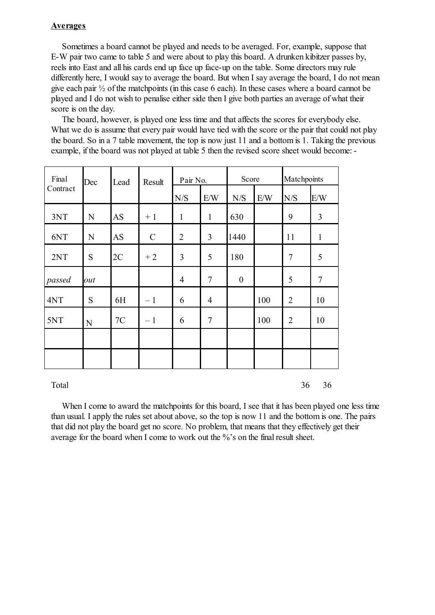## **Averages**

Sometimes a board cannot be played and needs to be averaged. For, example, suppose that E-W pair two came to table 5 and were about to play this board. A drunken kibitzer passes by, reels into East and all his cards end up face up face-up on the table. Some directors may rule differently here, I would say to average the board. But when I say average the board, I do not mean give each pair ½ of the matchpoints (in this case 6 each). In these cases where a board cannot be played and I do not wish to penalise either side then I give both parties an average of what their score is on the day.

The board, however, is played one less time and that affects the scores for everybody else. What we do is assume that every pair would have tied with the score or the pair that could not play the board. So in a 7 table movement, the top is now just 11 and a bottom is 1. Taking the previous example, if the board was not played at table 5 then the revised score sheet would become:-

| Final<br>Contract | Dec | Lead      | Result        | Pair No.       |                | Score            |     | Matchpoints    |              |
|-------------------|-----|-----------|---------------|----------------|----------------|------------------|-----|----------------|--------------|
|                   |     |           |               | N/S            | E/W            | N/S              | E/W | N/S            | E/W          |
| 3NT               | N   | AS        | $+1$          | $\mathbf{1}$   | $\mathbf{1}$   | 630              |     | 9              | 3            |
| 6NT               | N   | <b>AS</b> | $\mathcal{C}$ | $\overline{2}$ | 3              | 1440             |     | 11             | $\mathbf{1}$ |
| 2NT               | S   | 2C        | $+2$          | 3              | 5              | 180              |     | $\overline{7}$ | 5            |
| passed            | out |           |               | 4              | $\tau$         | $\boldsymbol{0}$ |     | 5              | $\tau$       |
| 4NT               | S   | 6H        | $-1$          | 6              | $\overline{4}$ |                  | 100 | $\overline{2}$ | 10           |
| 5NT               | N   | 7C        | $-1$          | 6              | $\tau$         |                  | 100 | $\overline{2}$ | 10           |
|                   |     |           |               |                |                |                  |     |                |              |
|                   |     |           |               |                |                |                  |     |                |              |

Total 36 36 36

When I come to award the matchpoints for this board, I see that it has been played one less time than usual. I apply the rules set about above, so the top is now 11 and the bottom is one. The pairs that did not play the board get no score. No problem, that means that they effectively get their average for the board when I come to work out the %'s on the final result sheet.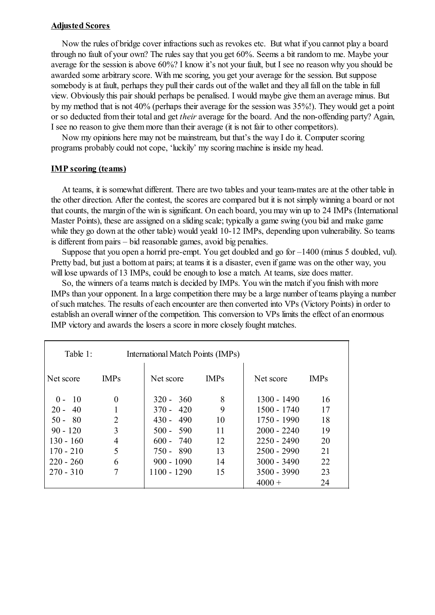### **Adjusted Scores**

Now the rules of bridge cover infractions such as revokes etc. But what if you cannot play a board through no fault of your own? The rules say that you get 60%. Seems a bit random to me. Maybe your average for the session is above 60%? I know it's not your fault, but I see no reason why you should be awarded some arbitrary score. With me scoring, you get your average for the session. But suppose somebody is at fault, perhaps they pull their cards out of the wallet and they all fall on the table in full view. Obviously this pair should perhaps be penalised. I would maybe give them an average minus. But by my method that is not 40% (perhaps their average for the session was 35%!). They would get a point or so deducted from their total and get *their* average for the board. And the non-offending party? Again, I see no reason to give them more than their average (it is not fair to other competitors).

Now my opinions here may not be mainstream, but that's the way I do it. Computer scoring programs probably could not cope, 'luckily' my scoring machine is inside my head.

### **IMP scoring (teams)**

At teams, it is somewhat different. There are two tables and your team-mates are at the other table in the other direction. After the contest, the scores are compared but it is not simply winning a board or not that counts, the margin of the win is significant. On each board, you may win up to 24 IMPs (International Master Points), these are assigned on a sliding scale; typically a game swing (you bid and make game while they go down at the other table) would yeald 10-12 IMPs, depending upon vulnerability. So teams is different from pairs – bid reasonable games, avoid big penalties.

Suppose that you open a horrid pre-empt. You get doubled and go for –1400 (minus 5 doubled, vul). Pretty bad, but just a bottom at pairs; at teams it is a disaster, even if game was on the other way, you will lose upwards of 13 IMPs, could be enough to lose a match. At teams, size does matter.

So, the winners of a teams match is decided by IMPs. You win the match if you finish with more IMPs than your opponent. In a large competition there may be a large number of teams playing a number ofsuch matches. The results of each encounter are then converted into VPs (Victory Points) in order to establish an overall winner of the competition. This conversion to VPs limits the effect of an enormous IMP victory and awards the losers a score in more closely fought matches.

| Table 1:    |                | International Match Points (IMPs) |             |               |             |
|-------------|----------------|-----------------------------------|-------------|---------------|-------------|
| Net score   | <b>IMPs</b>    | Net score                         | <b>IMPs</b> | Net score     | <b>IMPs</b> |
| $0 - 10$    | 0              | $320 - 360$                       | 8           | $1300 - 1490$ | 16          |
| $20 - 40$   |                | $370 - 420$                       | 9           | $1500 - 1740$ | 17          |
| $50 - 80$   | $\overline{2}$ | $430 - 490$                       | 10          | $1750 - 1990$ | 18          |
| $90 - 120$  | 3              | $500 - 590$                       | 11          | $2000 - 2240$ | 19          |
| 130 - 160   | 4              | $600 - 740$                       | 12          | $2250 - 2490$ | 20          |
| $170 - 210$ | 5              | 750 - 890                         | 13          | $2500 - 2990$ | 21          |
| $220 - 260$ | 6              | $900 - 1090$                      | 14          | $3000 - 3490$ | 22          |
| $270 - 310$ |                | $1100 - 1290$                     | 15          | $3500 - 3990$ | 23          |
|             |                |                                   |             | $4000 +$      | 24          |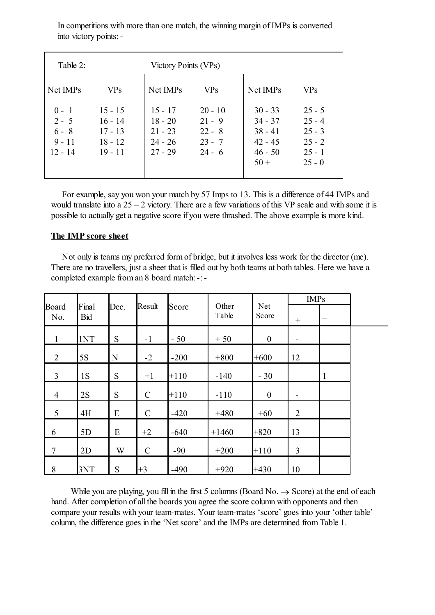| Table 2:                                               |                                                               | Victory Points (VPs)                                          |                                                           |                                                                         |                                                                      |
|--------------------------------------------------------|---------------------------------------------------------------|---------------------------------------------------------------|-----------------------------------------------------------|-------------------------------------------------------------------------|----------------------------------------------------------------------|
| Net IMPs                                               | <b>VPs</b>                                                    | Net IMPs                                                      | <b>VPs</b>                                                | Net IMPs                                                                | <b>VPs</b>                                                           |
| $0 - 1$<br>$2 - 5$<br>$6 - 8$<br>$9 - 11$<br>$12 - 14$ | $15 - 15$<br>$16 - 14$<br>$17 - 13$<br>$18 - 12$<br>$19 - 11$ | $15 - 17$<br>$18 - 20$<br>$21 - 23$<br>$24 - 26$<br>$27 - 29$ | $20 - 10$<br>$21 - 9$<br>$22 - 8$<br>$23 - 7$<br>$24 - 6$ | $30 - 33$<br>$34 - 37$<br>$38 - 41$<br>$42 - 45$<br>$46 - 50$<br>$50 +$ | $25 - 5$<br>$25 - 4$<br>$25 - 3$<br>$25 - 2$<br>$25 - 1$<br>$25 - 0$ |

In competitions with more than one match, the winning margin of IMPs is converted into victory points:-

For example, say you won your match by 57 Imps to 13. This is a difference of 44 IMPs and would translate into a  $25 - 2$  victory. There are a few variations of this VP scale and with some it is possible to actually get a negative score if you were thrashed. The above example is more kind.

### **The IMP score sheet**

Not only is teams my preferred form of bridge, but it involves less work for the director (me). There are no travellers, just a sheet that is filled out by both teams at both tables. Here we have a completed example from an 8 board match: -: -

|                |                     |           |               |        |                |                     | <b>IMPs</b>    |                 |  |
|----------------|---------------------|-----------|---------------|--------|----------------|---------------------|----------------|-----------------|--|
| Board<br>No.   | Final<br><b>Bid</b> | Dec.      | Result        | Score  | Other<br>Table | <b>Net</b><br>Score | $^{+}$         | $\qquad \qquad$ |  |
| $\mathbf{1}$   | 1NT                 | S         | $-1$          | $-50$  | $+50$          | $\mathbf{0}$        |                |                 |  |
| 2              | 5S                  | ${\bf N}$ | $-2$          | $-200$ | $+800$         | $+600$              | 12             |                 |  |
| 3              | 1S                  | S         | $+1$          | $+110$ | $-140$         | $-30$               |                | $\mathbf{1}$    |  |
| $\overline{4}$ | 2S                  | S         | $\mathcal{C}$ | $+110$ | $-110$         | $\mathbf{0}$        |                |                 |  |
| 5              | 4H                  | E         | $\mathcal{C}$ | $-420$ | $+480$         | $+60$               | $\overline{2}$ |                 |  |
| 6              | 5D                  | E         | $+2$          | $-640$ | $+1460$        | $+820$              | 13             |                 |  |
| $\overline{7}$ | 2D                  | W         | $\mathcal{C}$ | $-90$  | $+200$         | $+110$              | $\overline{3}$ |                 |  |
| 8              | 3NT                 | S         | $+3$          | $-490$ | $+920$         | $+430$              | 10             |                 |  |

While you are playing, you fill in the first 5 columns (Board No.  $\rightarrow$  Score) at the end of each hand. After completion of all the boards you agree the score column with opponents and then compare your results with your team-mates. Your team-mates 'score' goes into your 'other table' column, the difference goes in the 'Net score' and the IMPs are determined from Table 1.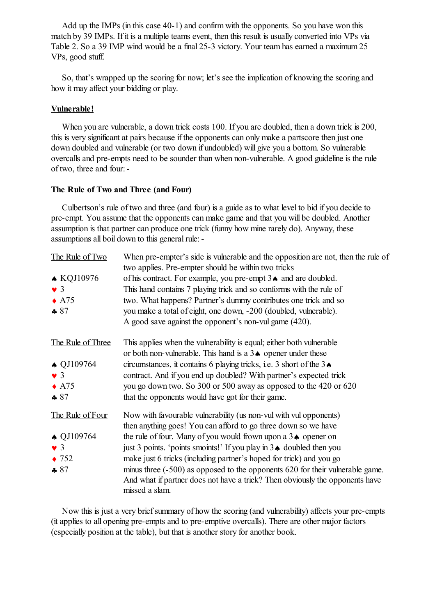Add up the IMPs (in this case 40-1) and confirm with the opponents. So you have won this match by 39 IMPs. If it is a multiple teams event, then this result is usually converted into VPs via Table 2. So a 39 IMP wind would be a final 25-3 victory. Your team has earned a maximum 25 VPs, good stuff.

So, that's wrapped up the scoring for now; let's see the implication of knowing the scoring and how it may affect your bidding or play.

## **Vulnerable!**

When you are vulnerable, a down trick costs 100. If you are doubled, then a down trick is 200, this is very significant at pairs because if the opponents can only make a partscore then just one down doubled and vulnerable (or two down if undoubled) will give you a bottom. So vulnerable overcalls and pre-empts need to be sounder than when non-vulnerable. A good guideline is the rule of two, three and four:-

## **The Rule of Two and Three (and Four)**

Culbertson's rule of two and three (and four) is a guide as to what level to bid if you decide to pre-empt. You assume that the opponents can make game and that you will be doubled. Another assumption is that partner can produce one trick (funny how mine rarely do). Anyway, these assumptions all boil down to this general rule: -

| The Rule of Two      | When pre-empter's side is vulnerable and the opposition are not, then the rule of<br>two applies. Pre-empter should be within two tricks |
|----------------------|------------------------------------------------------------------------------------------------------------------------------------------|
| $\triangle$ KQJ10976 | of his contract. For example, you pre-empt 3. and are doubled.                                                                           |
| $\bullet$ 3          | This hand contains 7 playing trick and so conforms with the rule of                                                                      |
| $\triangle$ A75      | two. What happens? Partner's dummy contributes one trick and so                                                                          |
| $-87$                | you make a total of eight, one down, -200 (doubled, vulnerable).                                                                         |
|                      | A good save against the opponent's non-vul game (420).                                                                                   |
| The Rule of Three    | This applies when the vulnerability is equal; either both vulnerable                                                                     |
|                      | or both non-vulnerable. This hand is a $3\bullet$ opener under these                                                                     |
| $\triangle$ QJ109764 | circumstances, it contains 6 playing tricks, i.e. 3 short of the $3\spadesuit$                                                           |
| $\bullet$ 3          | contract. And if you end up doubled? With partner's expected trick                                                                       |
| $\triangle$ A75      | you go down two. So 300 or 500 away as opposed to the 420 or 620                                                                         |
| $-87$                | that the opponents would have got for their game.                                                                                        |
| The Rule of Four     | Now with favourable vulnerability (us non-vul with vul opponents)                                                                        |
|                      | then anything goes! You can afford to go three down so we have                                                                           |
| $\triangle$ QJ109764 | the rule of four. Many of you would frown upon a $3\spadesuit$ opener on                                                                 |
| $\bullet$ 3          | just 3 points. 'points smoints!' If you play in 3. doubled then you                                                                      |
| $\bullet$ 752        | make just 6 tricks (including partner's hoped for trick) and you go                                                                      |
| $-87$                | minus three (-500) as opposed to the opponents 620 for their vulnerable game.                                                            |
|                      | And what if partner does not have a trick? Then obviously the opponents have<br>missed a slam.                                           |

Now this is just a very briefsummary of how the scoring (and vulnerability) affects your pre-empts (it applies to all opening pre-empts and to pre-emptive overcalls). There are other major factors (especially position at the table), but that is another story for another book.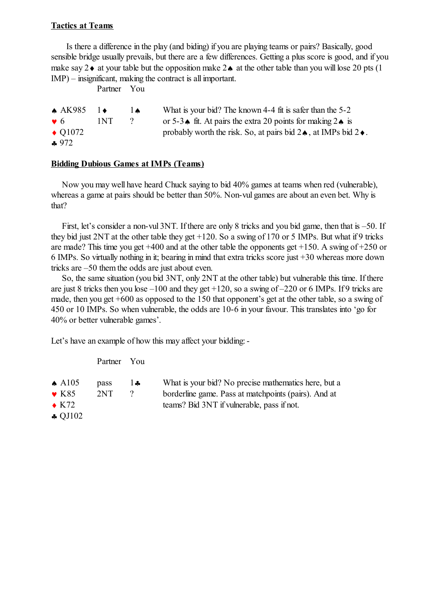## **Tactics at Teams**

Is there a difference in the play (and biding) if you are playing teams or pairs? Basically, good sensible bridge usually prevails, but there are a few differences. Getting a plus score is good, and if you make say  $2\bullet$  at your table but the opposition make  $2\bullet$  at the other table than you will lose 20 pts (1) IMP) – insignificant, making the contract is all important.

Partner You

| $\triangle$ AK985 | ╶╿♦   | I Ѧ      | What is your bid? The known 4-4 fit is safer than the 5-2                             |
|-------------------|-------|----------|---------------------------------------------------------------------------------------|
| $\bullet$ 6       | 1NT - | $\gamma$ | or 5-3 $\triangle$ fit. At pairs the extra 20 points for making 2 $\triangle$ is      |
| $\triangle$ O1072 |       |          | probably worth the risk. So, at pairs bid $2\spadesuit$ , at IMPs bid $2\spadesuit$ . |
| .072              |       |          |                                                                                       |

 $-9/2$ 

### **Bidding Dubious Games at IMPs (Teams)**

Now you may well have heard Chuck saying to bid 40% games at teams when red (vulnerable), whereas a game at pairs should be better than 50%. Non-vul games are about an even bet. Why is that?

First, let's consider a non-vul 3NT. If there are only 8 tricks and you bid game, then that is –50. If they bid just 2NT at the other table they get +120. So a swing of 170 or 5 IMPs. But what if 9 tricks are made? This time you get  $+400$  and at the other table the opponents get  $+150$ . A swing of  $+250$  or 6 IMPs. So virtually nothing in it; bearing in mind that extra tricks score just +30 whereas more down tricks are –50 them the odds are just about even.

So, the same situation (you bid 3NT, only 2NT at the other table) but vulnerable this time. If there are just 8 tricks then you lose  $-100$  and they get  $+120$ , so a swing of  $-220$  or 6 IMPs. If 9 tricks are made, then you get +600 as opposed to the 150 that opponent's get at the other table, so a swing of 450 or 10 IMPs. So when vulnerable, the odds are 10-6 in your favour. This translates into 'go for 40% or better vulnerable games'.

Let's have an example of how this may affect your bidding: -

| You |
|-----|
|     |

| $\triangle$ A105          | pass | $\mathbf{A}$ | What is your bid? No precise mathematics here, but a |
|---------------------------|------|--------------|------------------------------------------------------|
| $\bullet$ K <sub>85</sub> | 2NT  |              | borderline game. Pass at matchpoints (pairs). And at |
| $\triangle$ K72           |      |              | teams? Bid 3NT if vulnerable, pass if not.           |
| $\clubsuit$ QJ102         |      |              |                                                      |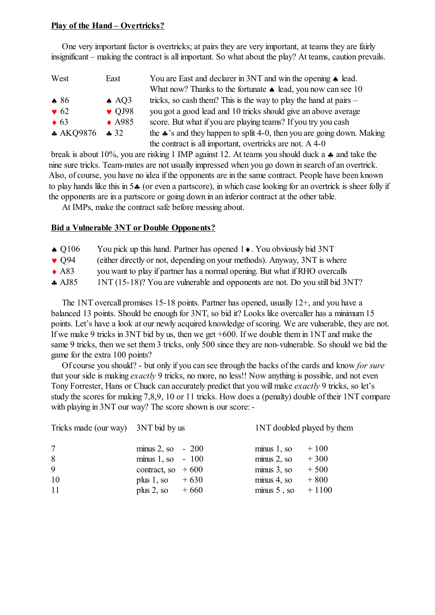# **Play of the Hand – Overtricks?**

One very important factor is overtricks; at pairs they are very important, at teams they are fairly insignificant – making the contract is all important. So what about the play? At teams, caution prevails.

| West         | East             | You are East and declarer in 3NT and win the opening $\triangle$ lead.           |
|--------------|------------------|----------------------------------------------------------------------------------|
|              |                  | What now? Thanks to the fortunate $\triangle$ lead, you now can see 10           |
| $\bullet$ 86 | $\triangle$ AQ3  | tricks, so cash them? This is the way to play the hand at pairs $-$              |
| $\bullet$ 62 | $\bullet$ QJ98   | you got a good lead and 10 tricks should give an above average                   |
| $\bullet$ 63 | $\triangle$ A985 | score. But what if you are playing teams? If you try you cash                    |
| $*$ AKQ9876  | 32               | the $\clubsuit$ 's and they happen to split 4-0, then you are going down. Making |
|              |                  | the contract is all important, overtricks are not. A 4-0                         |

break is about 10%, you are risking 1 IMP against 12. At teams you should duck a  $\clubsuit$  and take the nine sure tricks. Team-mates are not usually impressed when you go down in search of an overtrick. Also, of course, you have no idea if the opponents are in the same contract. People have been known to play hands like this in  $5\clubsuit$  (or even a partscore), in which case looking for an overtrick is sheer folly if the opponents are in a partscore or going down in an inferior contract at the other table.

At IMPs, make the contract safe before messing about.

# **Bid a Vulnerable 3NT or Double Opponents?**

- $\triangle Q106$  You pick up this hand. Partner has opened  $1 \triangleleft$ . You obviously bid 3NT
- Q94 (either directly or not, depending on your methods). Anyway, 3NT is where
- A83 you want to play if partner has a normal opening. But what if RHO overcalls
- AJ85 1NT (15-18)? You are vulnerable and opponents are not. Do you still bid 3NT?

The 1NT overcall promises 15-18 points. Partner has opened, usually 12+, and you have a balanced 13 points. Should be enough for 3NT, so bid it? Looks like overcaller has a minimum 15 points. Let's have a look at our newly acquired knowledge of scoring. We are vulnerable, they are not. If we make 9 tricks in 3NT bid by us, then we get +600. If we double them in 1NT and make the same 9 tricks, then we set them 3 tricks, only 500 since they are non-vulnerable. So should we bid the game for the extra 100 points?

Of course you should? - but only if you can see through the backs of the cards and know *for sure* that your side is making *exactly* 9 tricks, no more, no less!! Now anything is possible, and not even Tony Forrester, Hans or Chuck can accurately predict that you will make *exactly* 9 tricks, so let's study the scores for making 7,8,9, 10 or 11 tricks. How does a (penalty) double of their 1NT compare with playing in 3NT our way? The score shown is our score: -

| Tricks made (our way) 3NT bid by us |                       |        | <b>INT</b> doubled played by them |         |
|-------------------------------------|-----------------------|--------|-----------------------------------|---------|
| 7                                   | minus 2, so $-200$    |        | $minus 1$ , so                    | $+100$  |
| 8                                   | minus $1$ , so $-100$ |        | $minus 2$ , so                    | $+300$  |
| 9                                   | contract, so $+600$   |        | $minus 3$ , so                    | $+500$  |
| 10                                  | plus 1, so            | $+630$ | $minus 4$ , so                    | $+800$  |
| 11                                  | plus $2$ , so         | $+660$ | $minus 5$ , so                    | $+1100$ |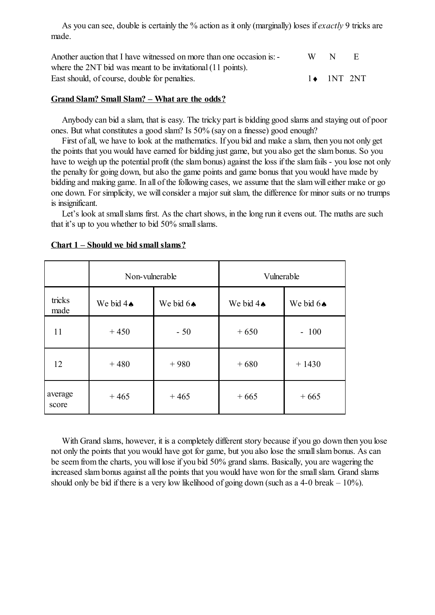As you can see, double is certainly the % action as it only (marginally) loses if *exactly* 9 tricks are made.

| Another auction that I have witnessed on more than one occasion is: - | W. | N                   |  |
|-----------------------------------------------------------------------|----|---------------------|--|
| where the 2NT bid was meant to be invitational (11 points).           |    |                     |  |
| East should, of course, double for penalties.                         |    | $1 \bullet$ 1NT 2NT |  |

### **Grand Slam? Small Slam? – What are the odds?**

Anybody can bid a slam, that is easy. The tricky part is bidding good slams and staying out of poor ones. But what constitutes a good slam? Is 50% (say on a finesse) good enough?

First of all, we have to look at the mathematics. If you bid and make a slam, then you not only get the points that you would have earned for bidding just game, but you also get the slam bonus. So you have to weigh up the potential profit (the slam bonus) against the loss if the slam fails - you lose not only the penalty for going down, but also the game points and game bonus that you would have made by bidding and making game. In all of the following cases, we assume that the slam will either make or go one down. For simplicity, we will consider a major suit slam, the difference for minor suits or no trumps is insignificant.

Let's look at small slams first. As the chart shows, in the long run it evens out. The maths are such that it's up to you whether to bid 50% smallslams.

|                  | Non-vulnerable       |                      |                      | Vulnerable           |  |
|------------------|----------------------|----------------------|----------------------|----------------------|--|
| tricks<br>made   | We bid $4\spadesuit$ | We bid $6\spadesuit$ | We bid $4\spadesuit$ | We bid $6\spadesuit$ |  |
| 11               | $+450$               | $-50$                | $+650$               | $-100$               |  |
| 12               | $+480$               | $+980$               | $+680$               | $+1430$              |  |
| average<br>score | $+465$               | $+465$               | $+665$               | $+665$               |  |

### **Chart 1 – Should we bid small slams?**

With Grand slams, however, it is a completely different story because if you go down then you lose not only the points that you would have got for game, but you also lose the smallslam bonus. As can be seem from the charts, you will lose if you bid 50% grand slams. Basically, you are wagering the increased slam bonus against all the points that you would have won for the small slam. Grand slams should only be bid if there is a very low likelihood of going down (such as a 4-0 break  $-10\%$ ).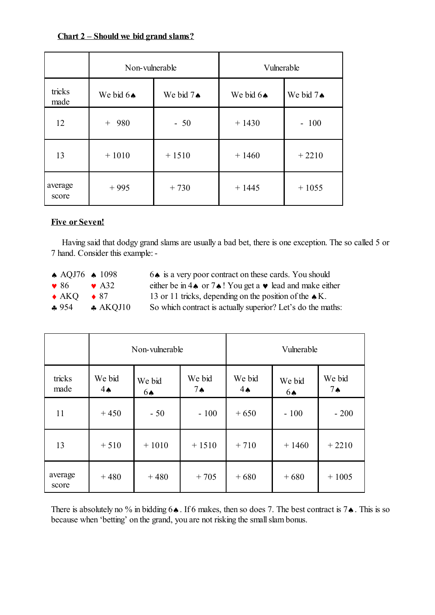| $Char 2 – Should we bid grand slams?$ |  |  |  |
|---------------------------------------|--|--|--|
|                                       |  |  |  |

|                  | Non-vulnerable       |           | Vulnerable            |                      |
|------------------|----------------------|-----------|-----------------------|----------------------|
| tricks<br>made   | We bid $6\spadesuit$ | We bid 7. | We bid $6 \spadesuit$ | We bid $7\spadesuit$ |
| 12               | 980<br>$^{+}$        | $-50$     | $+1430$               | $-100$               |
| 13               | $+1010$              | $+1510$   | $+1460$               | $+2210$              |
| average<br>score | $+995$               | $+730$    | $+1445$               | $+1055$              |

# **Five or Seven!**

Having said that dodgy grand slams are usually a bad bet, there is one exception. The so called 5 or 7 hand. Consider this example:-

| $\triangle$ AQJ76 $\triangle$ 1098 |                    | 6. is a very poor contract on these cards. You should                                        |
|------------------------------------|--------------------|----------------------------------------------------------------------------------------------|
| $\bullet$ 86 $\bullet$ A32         |                    | either be in 4 $\triangle$ or 7 $\triangle$ ! You get a $\triangledown$ lead and make either |
| $\triangle$ AKO $\triangle$ 87     |                    | 13 or 11 tricks, depending on the position of the $\triangle K$ .                            |
| $-954$                             | $\triangle$ AKQJ10 | So which contract is actually superior? Let's do the maths:                                  |

|                  |                         | Non-vulnerable |                       |                          | Vulnerable   |                          |
|------------------|-------------------------|----------------|-----------------------|--------------------------|--------------|--------------------------|
| tricks<br>made   | We bid<br>$4\spadesuit$ | We bid<br>6A   | We bid<br>$7^{\circ}$ | We bid<br>$4 \spadesuit$ | We bid<br>6▲ | We bid<br>$7 \spadesuit$ |
| 11               | $+450$                  | $-50$          | $-100$                | $+650$                   | $-100$       | $-200$                   |
| 13               | $+510$                  | $+1010$        | $+1510$               | $+710$                   | $+1460$      | $+2210$                  |
| average<br>score | $+480$                  | $+480$         | $+705$                | $+680$                   | $+680$       | $+1005$                  |

There is absolutely no % in bidding  $6\spadesuit$ . If 6 makes, then so does 7. The best contract is  $7\spadesuit$ . This is so because when 'betting' on the grand, you are not risking the smallslam bonus.